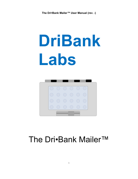# **DriBank Labs**



## The Dri•Bank Mailer™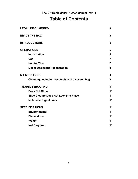### **Table of Contents**

| <b>LEGAL DISCLAIMERS</b>                      | 3  |
|-----------------------------------------------|----|
| <b>INSIDE THE BOX</b>                         | 5  |
| <b>INTRODUCTIONS</b>                          | 6  |
| <b>OPERATIONS</b>                             | 6  |
| <b>Initialization</b>                         | 6  |
| <b>Use</b>                                    | 7  |
| <b>Helpful Tips</b>                           | 7  |
| <b>Mailer Desiccant Regeneration</b>          | 8  |
| <b>MAINTENANCE</b>                            | 9  |
| Cleaning (including assembly and disassembly) | 9  |
| <b>TROUBLESHOOTING</b>                        | 11 |
| <b>Does Not Close</b>                         | 11 |
| <b>Slide Closure Does Not Lock Into Place</b> |    |
| <b>Molecular Signal Loss</b>                  | 11 |
| <b>SPECIFICATIONS</b>                         | 11 |
| <b>Environmental</b>                          | 11 |
| <b>Dimensions</b>                             | 11 |
| Weight                                        | 11 |
| <b>Not Required</b>                           | 11 |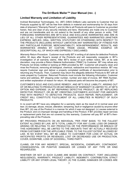#### **Limited Warranty and Limitation of Liability**

Inclined Biomedical Technologies, Inc. (IBT) D/B/A DriBank Labs warrants to Customer that (a) Products supplied by IBT will be free from defects in material and workmanship for 30 days from date of shipment ("Warranty Period"); and (b) title to all Products will pass to Customer as provided herein, free and clear of any security interests and liens. Warranties are made only to Customer and are not transferable and do not extend to the benefit of any other person or entity. THE FOREGOING WARRANTIES ARE IBT'S SOLE AND EXCLUSIVE WARRANTIES AND ARE IN LIEU OF ALL OTHER REPRESENTATIONS, GUARANTEES AND WARRANTIES (WHETHER EXPRESS, IMPLIED, ORAL, WRITTEN, STATUTORY OR OTHERWISE) WITH RESPECT TO THE PRODUCTS (INCLUDING WITHOUT LIMITATION ANY WARRANTIES OF FITNESS FOR ANY PARTICULAR PURPOSE, MERCHANTABILITY, NON-INFRINGEMENT, RESULTS, AND WARRANTIES ARISING BY CUSTOM, TRADE USAGE, PROMISE, EXAMPLE OR DESCRIPTION); ALL OF WHICH ARE EXPRESSLY DISCLAIMED.

*Warranty Return Procedure*: Customer must notify IBT in writing of all claims for defective Products within 30 days after Buyer's receipt of the Products and will reasonably cooperate in IBT's investigation of all warranty claims. After IBT's review of such written notice, IBT, at its sole discretion, may provide a Return Material Authorization ("RMA") to Customer. IBT may refuse any Products not timely notified or lacking an RMA provided by IBT. Customer will properly clean and rinse the Products, removing all biological, chemical, radioactive and hazardous residue. IBT may require Customer sign and deliver a properly completed certificate of decontamination prior to returning any Products. Then, Customer may return the allegedly defective Products to IBT with all costs prepaid by Customer. Returned Products must include the following information: Customer name and address, IBT shipping order number, number and date of invoice, IBT RMA Number, and written explanation of reason for return. All replaced parts will become the property of IBT.

CUSTOMER'S SOLE AND EXCLUSIVE REMEDY, AND IBT'S SOLE LIABILITY, ARISING OUT OF OR RELATING TO PRODUCTS OR ANY BREACH OF WARRANTY IS LIMITED TO, AT IBT'S OPTION AND EXPENSE: (A) IBT REPAIRING DEFECTIVE PRODUCT; (B) IBT REPLACING DEFECTIVE PRODUCT; OR (B) IBT CREDITING CUSTOMER'S ACCOUNT FOR AMOUNTS PAID WITH RESPECT TO DEFECTIVE PRODUCTS. SUCH REPAIR, REPLACEMENT, OR CREDIT WILL CONSTITUTE FULFILLMENT OF ALL LIABILITIES IN RESPECT OF SUCH PRODUCTS.

In no event will IBT have any obligation for a warranty claim as the result of (i) normal wear and tear; (ii) damage, abuse, misuse, alteration, tampering, fault or negligence caused by anyone other than IBT; (iii) use of the Product in a manner for which it was not designed; (v) causes external to the Product; and (vi) improper storage and handling of the Product. If IBT provides repair services or replacement parts that are not covered by this warranty, Customer will pay IBT at IBT's thenprevailing rate of the Products.

IBT PROVIDES PRODUCTS ON AN INDIVIDUAL "PER ITEM" BASIS. TO THE FULLEST EXTENT ALLOWED BY LAW, IBT'S TOTAL LIABILITY FOR ANY CLAIM, LOSS OR DAMAGE ARISING OR RELATING TO ANY PRODUCT(S) OR THE PERFORMANCE OR BREACH OF THIS AGREEMENT WILL BE LIMITED TO THE AMOUNTS THAT IBT ACTUALLY RECEIVED FROM CUSTOMER FOR THE APPLICABLE ITEMS. TO THE FULLEST EXTENT ALLOWED BY LAW, IN NO EVENT WILL IBT BE LIABLE TO CUSTOMER FOR LOSS OF ACTUAL OR ANTICIPATED PROFITS OR REVENUES, LOST OR DECREASED USE OR PRODUCTION, COVER, DOWNTIME, LOSS OF GOODWILL, THIRD PARTY.

CLAIMS, OR FOR ANY INDIRECT, SPECIAL, INCIDENTAL, EXEMPLARY, CONTINGENT, CONSEQUENTIAL OR PUNITIVE DAMAGES OR LOSSES OF ANY TYPE OR KIND REGARDLESS.

WHETHER OR NOT (I) SUCH CLAIMS ARE BASED ON CONTRACT, TORT (INCLUDING NEGLIGENCE), WARRANTY, PRODUCT LIABILITY, INDEMNITY, CONTRIBUTION, STRICT LIABILITY OR ANY OTHER LEGAL THEORY; (II) THE CLAIMS, DAMAGES OR LOSSES ARE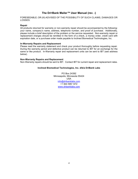FORESEEABLE; OR (III) ADVISED OF THE POSSIBILITY OF SUCH CLAIMS, DAMAGES OR LOSSES.

#### **Repair**

All products returned for warranty or non-warranty repair should be accompanied by the following: your name, company's name, address, telephone number, and proof of purchase. Additionally, please include a brief description of the problem or the service requested. Non-warranty repair or replacement charges should be remitted in the form of a check, a money order, credit card with expiration date, or a purchase order made payable to Inclined Biomedical Technologies, Inc.

#### **In-Warranty Repairs and Replacement**

Please read the warranty statement and check your product thoroughly before requesting repair. During the warranty period and defective product can be returned to IBT for an exchange for the same or like product. In-Warranty repair and replacement units can be sent to IBT (see address below).

#### **Non-Warranty Repairs and Replacement**

Non-Warranty repairs should be sent to IBT. Contact IBT for current repair and replacement rates.

#### **Inclined Biomedical Technologies, Inc. d/b/a DriBank Labs**

PO Box 24392 Minneapolis, Minnesota 55424 USA info@dribanklabs.com +1 844 599 1472 www.dribanklabs.com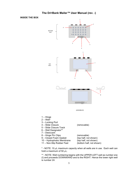#### **INSIDE THE BOX**



\* - NOTE: 10  $\mu$ L maximum capacity when all wells are in use. Each well can hold a maximum of 50  $\mu$ L.

\*\* - NOTE: Well numbering begins with the UPPER LEFT well as number one (I) and proceeds DOWNWARD and to the RIGHT. Hence the lower right well is number 24.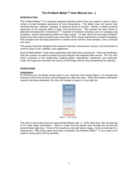#### **INTRODUCTION**

The Dri•Bank Mailer™ is a specially designed patented product that can preserve, store or ship a variety of small biological specimens at room temperature. The Mailer does not require toxic chemical fixatives, matrices, coatings, or electrical power to function. Rather, it utilizes powerful desiccants to dry samples within a static micro-environment. This process has been shown to attenuate decomposition mechanisms $^{1,2,3}$  required of hydrolytic enzymes such as nucleases and proteases, namely sequestering water from their activity. To date, data from the larger Dri•Bank<sup>®</sup> System has been used to preserve and store DNA, RNA, and an assortment of protein biomarkers from samples such as biopsy specimens, a breast cancer cell line, fecal samples, urine, oral fluids and more.

This product has been designed with research scientists, veterinarians, doctors, and technicians in mind for ease of use, reliability, and ruggedness.

Each Dri•Bank Mailer™ sold comes assembled with three main components. These are the Bottom Half that contains 24 wells for preserving liquid aliquots with attached slide closure. The Top Half, which comprises of the closed-foam sealing gasket, hydrophobic membrane, and desiccant. Lastly, the hinge pins that slide into and out of the hinge units for easy disassembly for cleaning.

#### **OPERATIONS**

#### **Initialization**

For first-time use, the Mailer comes ready to use. Note the Color Scale (Figure 1) to compare the desiccant color in the top-half, it should appear as a dark blue color. When the moisture adsorption capacity has been exhausted, the color will change to beige or a very light tan.



The color on the scale shows the approximate lifespan left, i.e. 100% (dark blue, fully functioning) to 0% (light beige, exhausted). Check to make sure the beads seen through the top-half are predominately dark blue. If most of the beads are very light blue or beige, it may be returned for a replacement. After these steps have been completed, the Dri•Bank Mailer™ is now ready to be used for drying and/or storing samples.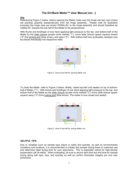#### **Use**

Referencing Figure 2 below, before opening the Mailer make sure the hinge clip tips (red circles) are pointing upwards (perpendicular) from the hinge assembly. Please note for illustrative purposes the hinge clips are shown PARALLEL to the hinge assembly and should therefore be rotated 90˚ towards the top-half of the Mailer to be perpendicular.

With thumb and forefinger of one hand applying light pressure to the top- and bottom-half of the Mailer by the slide closure (purple circle marked "1"), move slide closure (green square) toward ("2") the locking port (blue arrow), and open ("3"). With bottom-half now accessible, samples may be placed individually into respective wells.



Figure 2. View of top-half for opening Mailer unit

To close the Mailer, refer to Figure 3 below. Briefly, rotate top-half until seated on top of bottomhalf of Mailer ("1"). With thumb and forefinger of one hand applying light pressure to the top- and bottom-half of the Mailer by the slide closure (purple circle marked "2"), move slide closure (green square) away ("3") from locking port (blue arrow). The mailer is now closed and sealed.



Figure 3. View of top-half for closing Mailer unit

#### *HELPFUL TIPS:*

Due to variables such as sample type (liquid or solid) and quantity, as well as environmental conditions and locations, it is recommended to initially test sample drying times to maximize use and determine ideal drying time for your specimens. This is especially critical for high-density preservation (all 24-wells). When evaluating, be sure to record start time and end time for sample drying along with type, size, and quantity as well as confirm biomarker integrity per end user protocol(s).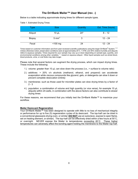Below is a table indicating approximate drying times for different sample types.

| Type          | Size <sub>1</sub> | Quantity | Est. Time (hours) |
|---------------|-------------------|----------|-------------------|
| Aliquot       | $10 \mu L$        | $24*$    | $8 - 12$          |
| <b>Biopsy</b> | $5 \text{ mm}^3$  | 3        | $12 - 24$         |
| Fecal         | $<$ 100 mg        | 24       | $12 - 24$         |

Table 1. Estimated Drying Times

Times based on customer information and from peer-reviewed scientific publications using the larger Dri•Bank® System. $^{1,2,3}$ Unless otherwise noted, preservation conditions were at approximately 20˚C, 1 ATM, and 30% relative humidity and aliquots refers to aqueous samples. Times required for your sample may vary up or down depending on sample type, quantity, and environmental conditions among other variables. \* - based on aqueous aliquot. Other liquid samples such as whole blood, blood products, urine, or oral fluids may take longer.

Please note that several factors can augment the drying process, which can impact drying times. These include the following:

- 1.) volume: greater than 10  $\mu$ L can slow down the process (i.e.,  $>$  surface to volume ratio)
- 2.) additives: > 20% v/v alcohols (methanol, ethanol, and propanol) can accelerate evaporation while viscous compounds like glycerol, gels, or detergents can slow it down or prevent complete desiccation entirely
- 3.) membranes: such as those used for microtiter plates can slow drying times by a factor of  $2 - 3$
- 4.) population: a combination of volume and high quantity (or vice versa), for example 10 µL aliquots within 24-wells, in combination with the above factors can also contribute to slower drying times

For these reasons, we recommend that you initially test the Dri•Bank Mailer™ to maximize your workflow.

#### **Mailer Desiccant Regeneration**

Your Dri•Bank Mailer™ has been designed to operate with little to no loss of mechanical integrity or performance for up to five (5) regeneration cycles of its desiccant. The top-half can be dried in a conventional glassware-drying oven, or similar (**DO NOT** use an autoclave, expose to open flame, set on heating element, or similar). The top-half can be effectively dried within a few hours at 50˚C, or overnight. NEVER expose the Mailer to temperatures *exceeding 60˚C.* These higher temperatures can adversely affect the bonding agent holding the membrane to the Mailer top-half.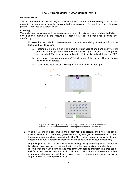#### **MAINTENANCE**

The moisture content of the sample(s) as well as the environment of the operating conditions will determine the frequency of visually checking the Mailer desiccant. Be sure to use the color scale (Figure 1) provided as a helpful guide.

#### **Cleaning**

The Mailer has been designed to be reused several times. In between uses, or when the Mailer is dirty and/or contaminated, the following procedures are recommended for cleaning and disinfecting:

- 1. Disassemble the Mailer into three separate components consisting of the top-half, bottomhalf, and the slide closure.
	- a. Referring to Figure 4, first with thumb and forefinger of one hand applying light pressure to the top- and bottom-half of the Mailer by the hinge assembly (purple circle marked "1"), grasp the rounded portion of hinge clip and pull straight out ("2").
	- b. Next, move slide closure toward ("3") locking port (blue arrow). The two halves may now be separated.
	- c. Lastly, move slide closure toward gap and off of the slide track ("4").





- 2. With the Mailer now disassembled, the bottom-half, slide closure, and hinge clips can be washed with traditional laboratory glassware washing detergent. Once washed and rinsed, these components can be disinfected with either 10% sodium hypochlorite solution (bleach, unscented) or 70% isopropyl alcohol solution and dried (with or without drying oven).
- 3. Regarding the top-half, use extra care when washing, rinsing and drying as the membrane is delicate; take care not to puncture it with bottle brushes, bristles, or similar items. It is recommended to wash the membrane area lightly with sponge or similar. This area can be disinfected with either 10% sodium hypochlorite solution (bleach, unscented) or 70% isopropyl alcohol solution and dried in drying oven. To regenerate cartridge, see Mailer Regeneration section on previous page.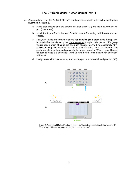- 4. Once ready for use, the Dri•Bank Mailer™ can be re-assembled via the following steps as illustrated in Figure 5.
	- a. Place slide closure onto the bottom-half slide track ("1") and move toward locking port (blue arrow).
	- b. Install the top-half onto the top of the bottom-half ensuring both halves are well seated.
	- c. Next, with thumb and forefinger of one hand applying light pressure to the top- and bottom-half of the Mailer by the hinge assembly (purple circle marked "2"), grasp the rounded portion of hinge clip and push straight into the hinge assembly ("3"). NOTE: the hinge clip tip should be pointed upwards. If the hinge clip does not slide easily into place pull out and press slightly harder on region "2" and re-try. Repeat for second hinge clip and check to make sure the Mailer can now open and close with ease.
	- d. Lastly, move slide closure away from locking port into locked/closed position ("4").



Figure 5. Assembly of Mailer. (A) View of bottom-half illustrating steps to install slide closure. (B) View of top-half illustrating steps to joining top- and bottom-half.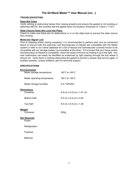#### **TROUBLESHOOTING**

#### **Does Not Close**

Verify nothing is obstructing halves from closing properly and ensure the gasket is not buckling or deformed (NOTE: this includes that the gasket does not exceed a thickness of 1.6mm (~1/16").

#### **Slide Closure Does Not Lock Into Place**

Check to make sure there are no obstructions in or on the slide track to prevent the slide closure from moving.

#### **Molecular Signal Lost**

Prior to shipping and/or storing sample(s), it is recommended to perform pilot runs as mentioned above to ensure both the specimen and biomolecules of interest are compatible with the Mailer system or refer to our online database for a list of tissues and biomolecules currently known to be compatible with our storage system (*not available at this time*). If it is known that your tissue and/or biomolecule(s) of interest is compatible, check the seals of the box by holding it up to the light. Any seal malfunction can easily be identified as evidenced by light passing through the box where it should not. Verify there is nothing obstructing the gasket to prevent a proper seal and try again. If problem persists, contact DriBank Labs for technical support.

#### **SPECIFICATIONS**

| $-80^{\circ}$ C to $+50^{\circ}$ C   |
|--------------------------------------|
| $-80^{\circ}$ C to $+50^{\circ}$ C   |
| 0 to $100\%$ RH                      |
| 6.9 cm x 6.9 cm x 1.91 cm            |
| 6.9 cm $\times$ 6.9 cm $\times$ 0.64 |
| 6.9 cm x 6.9 cm x 1.26               |
| 200 <sub>g</sub>                     |
|                                      |
|                                      |
|                                      |
|                                      |
|                                      |